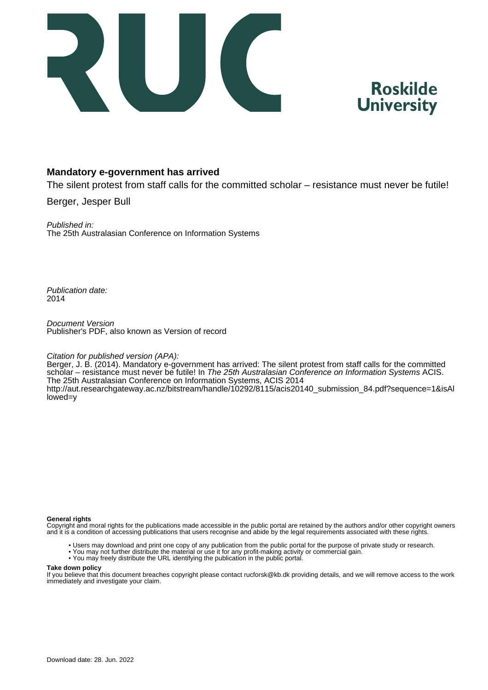



# **Mandatory e-government has arrived**

The silent protest from staff calls for the committed scholar – resistance must never be futile!

Berger, Jesper Bull

Published in: The 25th Australasian Conference on Information Systems

Publication date: 2014

Document Version Publisher's PDF, also known as Version of record

#### Citation for published version (APA):

Berger, J. B. (2014). Mandatory e-government has arrived: The silent protest from staff calls for the committed scholar – resistance must never be futile! In The 25th Australasian Conference on Information Systems ACIS. The 25th Australasian Conference on Information Systems, ACIS 2014 [http://aut.researchgateway.ac.nz/bitstream/handle/10292/8115/acis20140\\_submission\\_84.pdf?sequence=1&isAl](http://aut.researchgateway.ac.nz/bitstream/handle/10292/8115/acis20140_submission_84.pdf?sequence=1&isAllowed=y) [lowed=y](http://aut.researchgateway.ac.nz/bitstream/handle/10292/8115/acis20140_submission_84.pdf?sequence=1&isAllowed=y)

#### **General rights**

Copyright and moral rights for the publications made accessible in the public portal are retained by the authors and/or other copyright owners and it is a condition of accessing publications that users recognise and abide by the legal requirements associated with these rights.

- Users may download and print one copy of any publication from the public portal for the purpose of private study or research.
- You may not further distribute the material or use it for any profit-making activity or commercial gain.
- You may freely distribute the URL identifying the publication in the public portal.

#### **Take down policy**

If you believe that this document breaches copyright please contact rucforsk@kb.dk providing details, and we will remove access to the work immediately and investigate your claim.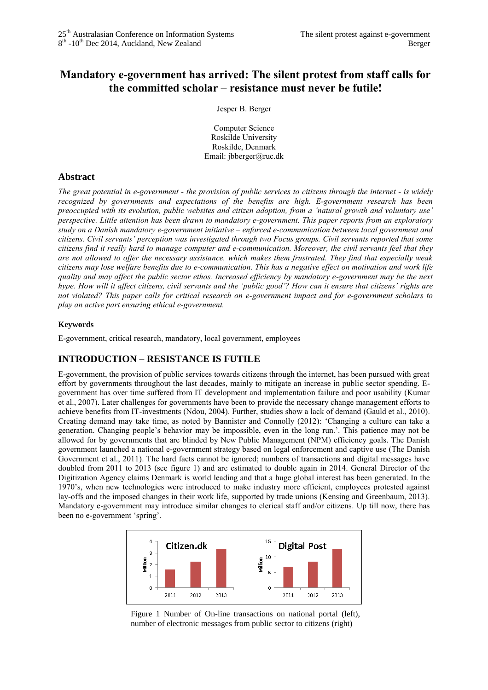# **Mandatory e-government has arrived: The silent protest from staff calls for the committed scholar – resistance must never be futile!**

Jesper B. Berger

Computer Science Roskilde University Roskilde, Denmark Email: jbberger@ruc.dk

### **Abstract**

*The great potential in e-government - the provision of public services to citizens through the internet - is widely recognized by governments and expectations of the benefits are high. E-government research has been preoccupied with its evolution, public websites and citizen adoption, from a 'natural growth and voluntary use' perspective. Little attention has been drawn to mandatory e-government. This paper reports from an exploratory study on a Danish mandatory e-government initiative – enforced e-communication between local government and citizens. Civil servants' perception was investigated through two Focus groups. Civil servants reported that some citizens find it really hard to manage computer and e-communication. Moreover, the civil servants feel that they are not allowed to offer the necessary assistance, which makes them frustrated. They find that especially weak citizens may lose welfare benefits due to e-communication. This has a negative effect on motivation and work life quality and may affect the public sector ethos. Increased efficiency by mandatory e-government may be the next hype. How will it affect citizens, civil servants and the 'public good'? How can it ensure that citizens' rights are not violated? This paper calls for critical research on e-government impact and for e-government scholars to play an active part ensuring ethical e-government.*

### **Keywords**

E-government, critical research, mandatory, local government, employees

### **INTRODUCTION – RESISTANCE IS FUTILE**

E-government, the provision of public services towards citizens through the internet, has been pursued with great effort by governments throughout the last decades, mainly to mitigate an increase in public sector spending. Egovernment has over time suffered from IT development and implementation failure and poor usability (Kumar et al., 2007). Later challenges for governments have been to provide the necessary change management efforts to achieve benefits from IT-investments (Ndou, 2004). Further, studies show a lack of demand (Gauld et al., 2010). Creating demand may take time, as noted by Bannister and Connolly (2012): 'Changing a culture can take a generation. Changing people's behavior may be impossible, even in the long run.'. This patience may not be allowed for by governments that are blinded by New Public Management (NPM) efficiency goals. The Danish government launched a national e-government strategy based on legal enforcement and captive use (The Danish Government et al., 2011). The hard facts cannot be ignored; numbers of transactions and digital messages have doubled from 2011 to 2013 (see [figure 1\)](#page-1-0) and are estimated to double again in 2014. General Director of the Digitization Agency claims Denmark is world leading and that a huge global interest has been generated. In the 1970's, when new technologies were introduced to make industry more efficient, employees protested against lay-offs and the imposed changes in their work life, supported by trade unions (Kensing and Greenbaum, 2013). Mandatory e-government may introduce similar changes to clerical staff and/or citizens. Up till now, there has been no e-government 'spring'.



<span id="page-1-0"></span>Figure 1 Number of On-line transactions on national portal (left), number of electronic messages from public sector to citizens (right)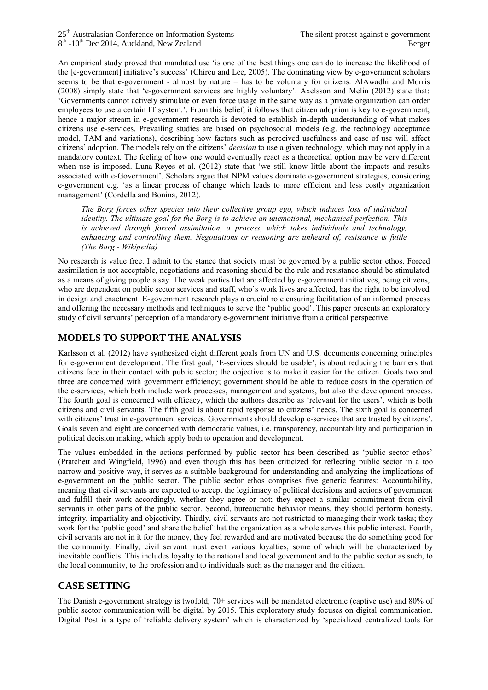An empirical study proved that mandated use 'is one of the best things one can do to increase the likelihood of the [e-government] initiative's success' (Chircu and Lee, 2005). The dominating view by e-government scholars seems to be that e-government - almost by nature – has to be voluntary for citizens. AlAwadhi and Morris (2008) simply state that 'e-government services are highly voluntary'. Axelsson and Melin (2012) state that: 'Governments cannot actively stimulate or even force usage in the same way as a private organization can order employees to use a certain IT system.'. From this belief, it follows that citizen adoption is key to e-government; hence a major stream in e-government research is devoted to establish in-depth understanding of what makes citizens use e-services. Prevailing studies are based on psychosocial models (e.g. the technology acceptance model, TAM and variations), describing how factors such as perceived usefulness and ease of use will affect citizens' adoption. The models rely on the citizens' *decision* to use a given technology, which may not apply in a mandatory context. The feeling of how one would eventually react as a theoretical option may be very different when use is imposed. Luna-Reyes et al. (2012) state that 'we still know little about the impacts and results associated with e-Government'. Scholars argue that NPM values dominate e-government strategies, considering e-government e.g. 'as a linear process of change which leads to more efficient and less costly organization management' (Cordella and Bonina, 2012).

*The Borg forces other species into their collective group ego, which induces loss of individual identity. The ultimate goal for the Borg is to achieve an unemotional, mechanical perfection. This is achieved through forced assimilation, a process, which takes individuals and technology, enhancing and controlling them. Negotiations or reasoning are unheard of, resistance is futile (The Borg - Wikipedia)*

No research is value free. I admit to the stance that society must be governed by a public sector ethos. Forced assimilation is not acceptable, negotiations and reasoning should be the rule and resistance should be stimulated as a means of giving people a say. The weak parties that are affected by e-government initiatives, being citizens, who are dependent on public sector services and staff, who's work lives are affected, has the right to be involved in design and enactment. E-government research plays a crucial role ensuring facilitation of an informed process and offering the necessary methods and techniques to serve the 'public good'. This paper presents an exploratory study of civil servants' perception of a mandatory e-government initiative from a critical perspective.

# **MODELS TO SUPPORT THE ANALYSIS**

Karlsson et al. (2012) have synthesized eight different goals from UN and U.S. documents concerning principles for e-government development. The first goal, 'E-services should be usable', is about reducing the barriers that citizens face in their contact with public sector; the objective is to make it easier for the citizen. Goals two and three are concerned with government efficiency; government should be able to reduce costs in the operation of the e-services, which both include work processes, management and systems, but also the development process. The fourth goal is concerned with efficacy, which the authors describe as 'relevant for the users', which is both citizens and civil servants. The fifth goal is about rapid response to citizens' needs. The sixth goal is concerned with citizens' trust in e-government services. Governments should develop e-services that are trusted by citizens'. Goals seven and eight are concerned with democratic values, i.e. transparency, accountability and participation in political decision making, which apply both to operation and development.

The values embedded in the actions performed by public sector has been described as 'public sector ethos' (Pratchett and Wingfield, 1996) and even though this has been criticized for reflecting public sector in a too narrow and positive way, it serves as a suitable background for understanding and analyzing the implications of e-government on the public sector. The public sector ethos comprises five generic features: Accountability, meaning that civil servants are expected to accept the legitimacy of political decisions and actions of government and fulfill their work accordingly, whether they agree or not; they expect a similar commitment from civil servants in other parts of the public sector. Second, bureaucratic behavior means, they should perform honesty, integrity, impartiality and objectivity. Thirdly, civil servants are not restricted to managing their work tasks; they work for the 'public good' and share the belief that the organization as a whole serves this public interest. Fourth, civil servants are not in it for the money, they feel rewarded and are motivated because the do something good for the community. Finally, civil servant must exert various loyalties, some of which will be characterized by inevitable conflicts. This includes loyalty to the national and local government and to the public sector as such, to the local community, to the profession and to individuals such as the manager and the citizen.

# **CASE SETTING**

The Danish e-government strategy is twofold; 70+ services will be mandated electronic (captive use) and 80% of public sector communication will be digital by 2015. This exploratory study focuses on digital communication. Digital Post is a type of 'reliable delivery system' which is characterized by 'specialized centralized tools for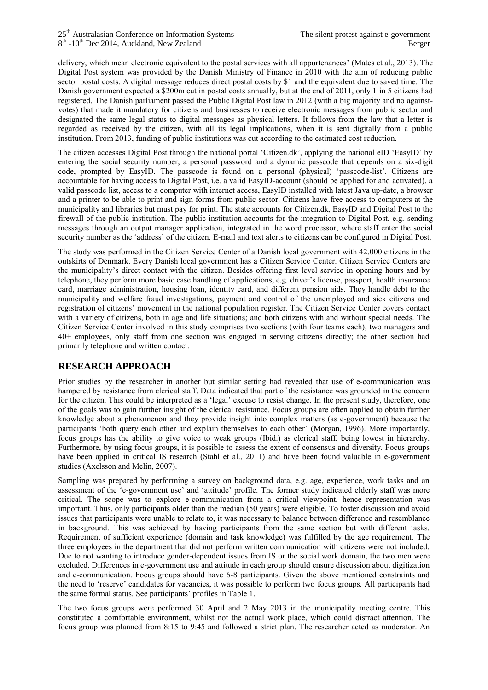delivery, which mean electronic equivalent to the postal services with all appurtenances' (Mates et al., 2013). The Digital Post system was provided by the Danish Ministry of Finance in 2010 with the aim of reducing public sector postal costs. A digital message reduces direct postal costs by \$1 and the equivalent due to saved time. The Danish government expected a \$200m cut in postal costs annually, but at the end of 2011, only 1 in 5 citizens had registered. The Danish parliament passed the Public Digital Post law in 2012 (with a big majority and no againstvotes) that made it mandatory for citizens and businesses to receive electronic messages from public sector and designated the same legal status to digital messages as physical letters. It follows from the law that a letter is regarded as received by the citizen, with all its legal implications, when it is sent digitally from a public institution. From 2013, funding of public institutions was cut according to the estimated cost reduction.

The citizen accesses Digital Post through the national portal 'Citizen.dk', applying the national eID 'EasyID' by entering the social security number, a personal password and a dynamic passcode that depends on a six-digit code, prompted by EasyID. The passcode is found on a personal (physical) 'passcode-list'. Citizens are accountable for having access to Digital Post, i.e. a valid EasyID-account (should be applied for and activated), a valid passcode list, access to a computer with internet access, EasyID installed with latest Java up-date, a browser and a printer to be able to print and sign forms from public sector. Citizens have free access to computers at the municipality and libraries but must pay for print. The state accounts for Citizen.dk, EasyID and Digital Post to the firewall of the public institution. The public institution accounts for the integration to Digital Post, e.g. sending messages through an output manager application, integrated in the word processor, where staff enter the social security number as the 'address' of the citizen. E-mail and text alerts to citizens can be configured in Digital Post.

The study was performed in the Citizen Service Center of a Danish local government with 42.000 citizens in the outskirts of Denmark. Every Danish local government has a Citizen Service Center. Citizen Service Centers are the municipality's direct contact with the citizen. Besides offering first level service in opening hours and by telephone, they perform more basic case handling of applications, e.g. driver's license, passport, health insurance card, marriage administration, housing loan, identity card, and different pension aids. They handle debt to the municipality and welfare fraud investigations, payment and control of the unemployed and sick citizens and registration of citizens' movement in the national population register. The Citizen Service Center covers contact with a variety of citizens, both in age and life situations; and both citizens with and without special needs. The Citizen Service Center involved in this study comprises two sections (with four teams each), two managers and 40+ employees, only staff from one section was engaged in serving citizens directly; the other section had primarily telephone and written contact.

# **RESEARCH APPROACH**

Prior studies by the researcher in another but similar setting had revealed that use of e-communication was hampered by resistance from clerical staff. Data indicated that part of the resistance was grounded in the concern for the citizen. This could be interpreted as a 'legal' excuse to resist change. In the present study, therefore, one of the goals was to gain further insight of the clerical resistance. Focus groups are often applied to obtain further knowledge about a phenomenon and they provide insight into complex matters (as e-government) because the participants 'both query each other and explain themselves to each other' (Morgan, 1996). More importantly, focus groups has the ability to give voice to weak groups (Ibid.) as clerical staff, being lowest in hierarchy. Furthermore, by using focus groups, it is possible to assess the extent of consensus and diversity. Focus groups have been applied in critical IS research (Stahl et al., 2011) and have been found valuable in e-government studies (Axelsson and Melin, 2007).

Sampling was prepared by performing a survey on background data, e.g. age, experience, work tasks and an assessment of the 'e-government use' and 'attitude' profile. The former study indicated elderly staff was more critical. The scope was to explore e-communication from a critical viewpoint, hence representation was important. Thus, only participants older than the median (50 years) were eligible. To foster discussion and avoid issues that participants were unable to relate to, it was necessary to balance between difference and resemblance in background. This was achieved by having participants from the same section but with different tasks. Requirement of sufficient experience (domain and task knowledge) was fulfilled by the age requirement. The three employees in the department that did not perform written communication with citizens were not included. Due to not wanting to introduce gender-dependent issues from IS or the social work domain, the two men were excluded. Differences in e-government use and attitude in each group should ensure discussion about digitization and e-communication. Focus groups should have 6-8 participants. Given the above mentioned constraints and the need to 'reserve' candidates for vacancies, it was possible to perform two focus groups. All participants had the same formal status. See participants' profiles in [Table 1.](#page-4-0)

The two focus groups were performed 30 April and 2 May 2013 in the municipality meeting centre. This constituted a comfortable environment, whilst not the actual work place, which could distract attention. The focus group was planned from 8:15 to 9:45 and followed a strict plan. The researcher acted as moderator. An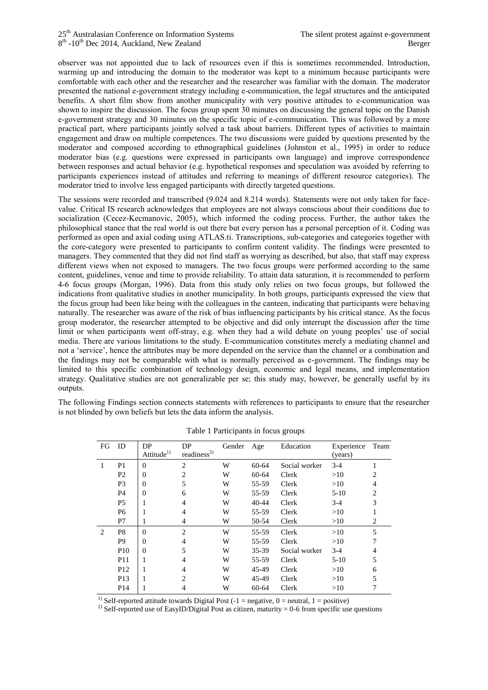observer was not appointed due to lack of resources even if this is sometimes recommended. Introduction, warming up and introducing the domain to the moderator was kept to a minimum because participants were comfortable with each other and the researcher and the researcher was familiar with the domain. The moderator presented the national e-government strategy including e-communication, the legal structures and the anticipated benefits. A short film show from another municipality with very positive attitudes to e-communication was shown to inspire the discussion. The focus group spent 30 minutes on discussing the general topic on the Danish e-government strategy and 30 minutes on the specific topic of e-communication. This was followed by a more practical part, where participants jointly solved a task about barriers. Different types of activities to maintain engagement and draw on multiple competences. The two discussions were guided by questions presented by the moderator and composed according to ethnographical guidelines (Johnston et al., 1995) in order to reduce moderator bias (e.g. questions were expressed in participants own language) and improve correspondence between responses and actual behavior (e.g. hypothetical responses and speculation was avoided by referring to participants experiences instead of attitudes and referring to meanings of different resource categories). The moderator tried to involve less engaged participants with directly targeted questions.

The sessions were recorded and transcribed (9.024 and 8.214 words). Statements were not only taken for facevalue. Critical IS research acknowledges that employees are not always conscious about their conditions due to socialization (Cecez-Kecmanovic, 2005), which informed the coding process. Further, the author takes the philosophical stance that the real world is out there but every person has a personal perception of it. Coding was performed as open and axial coding using ATLAS.ti. Transcriptions, sub-categories and categories together with the core-category were presented to participants to confirm content validity. The findings were presented to managers. They commented that they did not find staff as worrying as described, but also, that staff may express different views when not exposed to managers. The two focus groups were performed according to the same content, guidelines, venue and time to provide reliability. To attain data saturation, it is recommended to perform 4-6 focus groups (Morgan, 1996). Data from this study only relies on two focus groups, but followed the indications from qualitative studies in another municipality. In both groups, participants expressed the view that the focus group had been like being with the colleagues in the canteen, indicating that participants were behaving naturally. The researcher was aware of the risk of bias influencing participants by his critical stance. As the focus group moderator, the researcher attempted to be objective and did only interrupt the discussion after the time limit or when participants went off-stray, e.g. when they had a wild debate on young peoples' use of social media. There are various limitations to the study. E-communication constitutes merely a mediating channel and not a 'service', hence the attributes may be more depended on the service than the channel or a combination and the findings may not be comparable with what is normally perceived as e-government. The findings may be limited to this specific combination of technology design, economic and legal means, and implementation strategy. Qualitative studies are not generalizable per se; this study may, however, be generally useful by its outputs.

<span id="page-4-0"></span>The following Findings section connects statements with references to participants to ensure that the researcher is not blinded by own beliefs but lets the data inform the analysis.

| FG | ID              | DP                     | DP                      | Gender | Age       | Education     | Experience | Team           |
|----|-----------------|------------------------|-------------------------|--------|-----------|---------------|------------|----------------|
|    |                 | Attitude <sup>1)</sup> | readiness <sup>2)</sup> |        |           |               | (years)    |                |
| 1  | P <sub>1</sub>  | $\theta$               | 2                       | W      | 60-64     | Social worker | $3-4$      | 1              |
|    | P <sub>2</sub>  | $\overline{0}$         | 2                       | W      | 60-64     | Clerk         | >10        | $\overline{c}$ |
|    | P <sub>3</sub>  | $\theta$               | 5                       | W      | 55-59     | Clerk         | >10        | 4              |
|    | P <sub>4</sub>  | $\theta$               | 6                       | W      | 55-59     | Clerk         | $5-10$     | 2              |
|    | P <sub>5</sub>  |                        | 4                       | W      | $40 - 44$ | Clerk         | $3-4$      | 3              |
|    | P <sub>6</sub>  |                        | 4                       | W      | 55-59     | Clerk         | >10        | 1              |
|    | P7              |                        | 4                       | W      | 50-54     | Clerk         | >10        | $\overline{c}$ |
| 2  | P <sub>8</sub>  | $\theta$               | $\overline{2}$          | W      | 55-59     | Clerk         | >10        | 5              |
|    | P <sub>9</sub>  | $\Omega$               | $\overline{4}$          | W      | 55-59     | Clerk         | >10        | 7              |
|    | P <sub>10</sub> | $\theta$               | 5                       | W      | 35-39     | Social worker | $3-4$      | 4              |
|    | P <sub>11</sub> |                        | 4                       | W      | 55-59     | Clerk         | $5-10$     | 5              |
|    | P <sub>12</sub> | -1                     | $\overline{4}$          | W      | 45-49     | Clerk         | >10        | 6              |
|    | P <sub>13</sub> |                        | $\mathfrak{D}$          | W      | 45-49     | Clerk         | >10        | 5              |
|    | P <sub>14</sub> |                        | 4                       | W      | 60-64     | Clerk         | >10        |                |

Table 1 Participants in focus groups

<sup>1)</sup> Self-reported attitude towards Digital Post (-1 = negative,  $0$  = neutral, 1 = positive)

<sup>2)</sup> Self-reported use of EasyID/Digital Post as citizen, maturity = 0-6 from specific use questions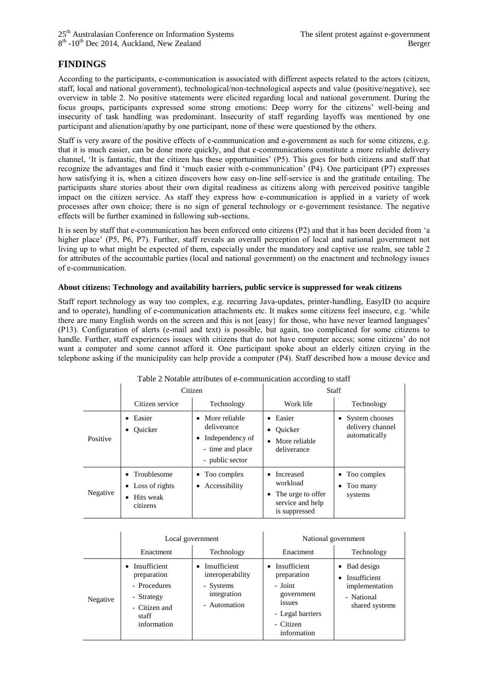# **FINDINGS**

According to the participants, e-communication is associated with different aspects related to the actors (citizen, staff, local and national government), technological/non-technological aspects and value (positive/negative), see overview in [table 2.](#page-5-0) No positive statements were elicited regarding local and national government. During the focus groups, participants expressed some strong emotions: Deep worry for the citizens' well-being and insecurity of task handling was predominant. Insecurity of staff regarding layoffs was mentioned by one participant and alienation/apathy by one participant, none of these were questioned by the others.

Staff is very aware of the positive effects of e-communication and e-government as such for some citizens, e.g. that it is much easier, can be done more quickly, and that e-communications constitute a more reliable delivery channel, 'It is fantastic, that the citizen has these opportunities' (P5). This goes for both citizens and staff that recognize the advantages and find it 'much easier with e-communication' (P4). One participant (P7) expresses how satisfying it is, when a citizen discovers how easy on-line self-service is and the gratitude entailing. The participants share stories about their own digital readiness as citizens along with perceived positive tangible impact on the citizen service. As staff they express how e-communication is applied in a variety of work processes after own choice; there is no sign of general technology or e-government resistance. The negative effects will be further examined in following sub-sections.

It is seen by staff that e-communication has been enforced onto citizens (P2) and that it has been decided from 'a higher place' (P5, P6, P7). Further, staff reveals an overall perception of local and national government not living up to what might be expected of them, especially under the mandatory and captive use realm, see [table 2](#page-5-0) for attributes of the accountable parties (local and national government) on the enactment and technology issues of e-communication.

#### **About citizens: Technology and availability barriers, public service is suppressed for weak citizens**

Staff report technology as way too complex, e.g. recurring Java-updates, printer-handling, EasyID (to acquire and to operate), handling of e-communication attachments etc. It makes some citizens feel insecure, e.g. 'while there are many English words on the screen and this is not [easy} for those, who have never learned languages' (P13). Configuration of alerts (e-mail and text) is possible, but again, too complicated for some citizens to handle. Further, staff experiences issues with citizens that do not have computer access; some citizens' do not want a computer and some cannot afford it. One participant spoke about an elderly citizen crying in the telephone asking if the municipality can help provide a computer (P4). Staff described how a mouse device and

<span id="page-5-0"></span>

| ruote 21 totuote attributes or e communication according to starr |                                                                  |                                                                                                     |                                                                                 |                                                       |  |  |  |
|-------------------------------------------------------------------|------------------------------------------------------------------|-----------------------------------------------------------------------------------------------------|---------------------------------------------------------------------------------|-------------------------------------------------------|--|--|--|
|                                                                   |                                                                  | Citizen                                                                                             | <b>Staff</b>                                                                    |                                                       |  |  |  |
|                                                                   | Citizen service                                                  | Technology                                                                                          | Work life                                                                       | Technology                                            |  |  |  |
| Positive                                                          | Easier<br>Ouicker                                                | More reliable<br>$\bullet$<br>deliverance<br>Independency of<br>- time and place<br>- public sector | Easier<br>$\bullet$<br>Ouicker<br>$\bullet$<br>More reliable<br>deliverance     | • System chooses<br>delivery channel<br>automatically |  |  |  |
| Negative                                                          | Troublesome<br>$\bullet$ Loss of rights<br>Hits weak<br>citizens | $\bullet$ Too complex<br>Accessibility<br>٠                                                         | Increased<br>workload<br>The urge to offer<br>service and help<br>is suppressed | Too complex<br>٠<br>Too many<br>٠<br>systems          |  |  |  |

### Table 2 Notable attributes of e-communication according to staff

|          |                                                                                                    | Local government                                                             | National government                                                                                                               |                                                                                        |  |
|----------|----------------------------------------------------------------------------------------------------|------------------------------------------------------------------------------|-----------------------------------------------------------------------------------------------------------------------------------|----------------------------------------------------------------------------------------|--|
|          | Enactment                                                                                          | Technology                                                                   | Enactment                                                                                                                         | Technology                                                                             |  |
| Negative | Insufficient<br>preparation<br>- Procedures<br>- Strategy<br>- Citizen and<br>staff<br>information | Insufficient<br>interoperability<br>- Systems<br>integration<br>- Automation | Insufficient<br>$\bullet$<br>preparation<br>- Joint<br>government<br><i>ssues</i><br>- Legal barriers<br>- Citizen<br>information | $\bullet$ Bad design<br>Insufficient<br>implementation<br>- National<br>shared systems |  |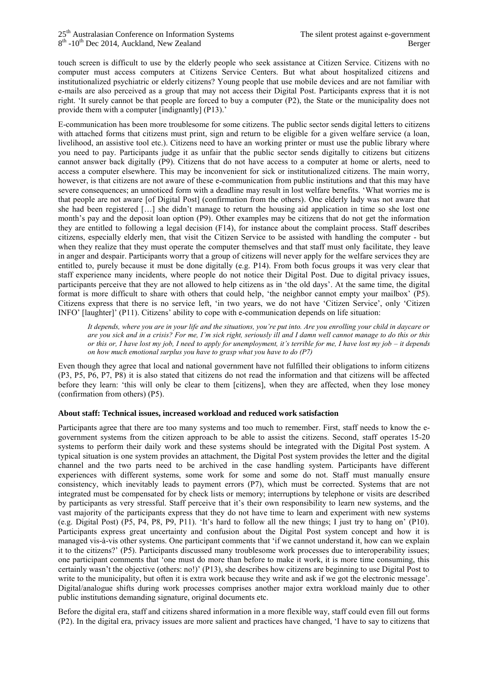touch screen is difficult to use by the elderly people who seek assistance at Citizen Service. Citizens with no computer must access computers at Citizens Service Centers. But what about hospitalized citizens and institutionalized psychiatric or elderly citizens? Young people that use mobile devices and are not familiar with e-mails are also perceived as a group that may not access their Digital Post. Participants express that it is not right. 'It surely cannot be that people are forced to buy a computer (P2), the State or the municipality does not provide them with a computer [indignantly] (P13).'

E-communication has been more troublesome for some citizens. The public sector sends digital letters to citizens with attached forms that citizens must print, sign and return to be eligible for a given welfare service (a loan, livelihood, an assistive tool etc.). Citizens need to have an working printer or must use the public library where you need to pay. Participants judge it as unfair that the public sector sends digitally to citizens but citizens cannot answer back digitally (P9). Citizens that do not have access to a computer at home or alerts, need to access a computer elsewhere. This may be inconvenient for sick or institutionalized citizens. The main worry, however, is that citizens are not aware of these e-communication from public institutions and that this may have severe consequences; an unnoticed form with a deadline may result in lost welfare benefits. 'What worries me is that people are not aware [of Digital Post] (confirmation from the others). One elderly lady was not aware that she had been registered […] she didn't manage to return the housing aid application in time so she lost one month's pay and the deposit loan option (P9). Other examples may be citizens that do not get the information they are entitled to following a legal decision (F14), for instance about the complaint process. Staff describes citizens, especially elderly men, that visit the Citizen Service to be assisted with handling the computer - but when they realize that they must operate the computer themselves and that staff must only facilitate, they leave in anger and despair. Participants worry that a group of citizens will never apply for the welfare services they are entitled to, purely because it must be done digitally (e.g. P14). From both focus groups it was very clear that staff experience many incidents, where people do not notice their Digital Post. Due to digital privacy issues, participants perceive that they are not allowed to help citizens as in 'the old days'. At the same time, the digital format is more difficult to share with others that could help, 'the neighbor cannot empty your mailbox' (P5). Citizens express that there is no service left, 'in two years, we do not have 'Citizen Service', only 'Citizen INFO' [laughter]' (P11). Citizens' ability to cope with e-communication depends on life situation:

*It depends, where you are in your life and the situations, you're put into. Are you enrolling your child in daycare or are you sick and in a crisis? For me, I'm sick right, seriously ill and I damn well cannot manage to do this or this or this or, I have lost my job, I need to apply for unemployment, it's terrible for me, I have lost my job – it depends on how much emotional surplus you have to grasp what you have to do (P7)*

Even though they agree that local and national government have not fulfilled their obligations to inform citizens (P3, P5, P6, P7, P8) it is also stated that citizens do not read the information and that citizens will be affected before they learn: 'this will only be clear to them [citizens], when they are affected, when they lose money (confirmation from others) (P5).

### **About staff: Technical issues, increased workload and reduced work satisfaction**

Participants agree that there are too many systems and too much to remember. First, staff needs to know the egovernment systems from the citizen approach to be able to assist the citizens. Second, staff operates 15-20 systems to perform their daily work and these systems should be integrated with the Digital Post system. A typical situation is one system provides an attachment, the Digital Post system provides the letter and the digital channel and the two parts need to be archived in the case handling system. Participants have different experiences with different systems, some work for some and some do not. Staff must manually ensure consistency, which inevitably leads to payment errors (P7), which must be corrected. Systems that are not integrated must be compensated for by check lists or memory; interruptions by telephone or visits are described by participants as very stressful. Staff perceive that it's their own responsibility to learn new systems, and the vast majority of the participants express that they do not have time to learn and experiment with new systems (e.g. Digital Post) (P5, P4, P8, P9, P11). 'It's hard to follow all the new things; I just try to hang on' (P10). Participants express great uncertainty and confusion about the Digital Post system concept and how it is managed vis-à-vis other systems. One participant comments that 'if we cannot understand it, how can we explain it to the citizens?' (P5). Participants discussed many troublesome work processes due to interoperability issues; one participant comments that 'one must do more than before to make it work, it is more time consuming, this certainly wasn't the objective (others: no!)' (P13), she describes how citizens are beginning to use Digital Post to write to the municipality, but often it is extra work because they write and ask if we got the electronic message'. Digital/analogue shifts during work processes comprises another major extra workload mainly due to other public institutions demanding signature, original documents etc.

Before the digital era, staff and citizens shared information in a more flexible way, staff could even fill out forms (P2). In the digital era, privacy issues are more salient and practices have changed, 'I have to say to citizens that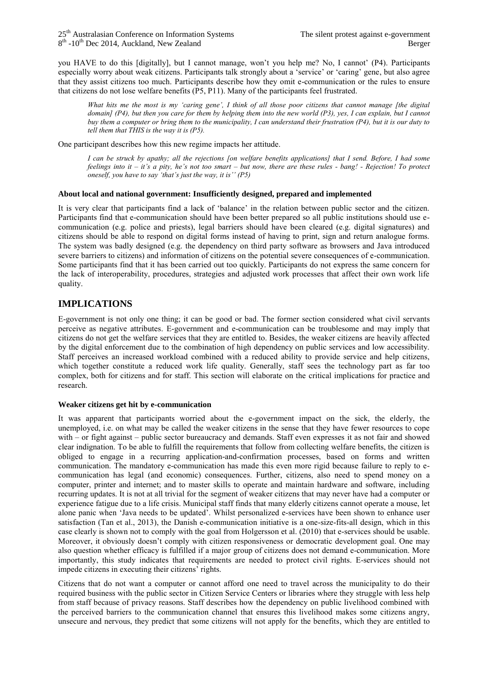you HAVE to do this [digitally], but I cannot manage, won't you help me? No, I cannot' (P4). Participants especially worry about weak citizens. Participants talk strongly about a 'service' or 'caring' gene, but also agree that they assist citizens too much. Participants describe how they omit e-communication or the rules to ensure that citizens do not lose welfare benefits (P5, P11). Many of the participants feel frustrated.

*What hits me the most is my 'caring gene', I think of all those poor citizens that cannot manage [the digital domain] (P4), but then you care for them by helping them into the new world (P3), yes, I can explain, but I cannot buy them a computer or bring them to the municipality, I can understand their frustration (P4), but it is our duty to tell them that THIS is the way it is (P5).*

One participant describes how this new regime impacts her attitude.

*I can be struck by apathy; all the rejections [on welfare benefits applications] that I send. Before, I had some feelings into it – it's a pity, he's not too smart – but now, there are these rules - bang! - Rejection! To protect oneself, you have to say 'that's just the way, it is'' (P5)*

### **About local and national government: Insufficiently designed, prepared and implemented**

It is very clear that participants find a lack of 'balance' in the relation between public sector and the citizen. Participants find that e-communication should have been better prepared so all public institutions should use ecommunication (e.g. police and priests), legal barriers should have been cleared (e.g. digital signatures) and citizens should be able to respond on digital forms instead of having to print, sign and return analogue forms. The system was badly designed (e.g. the dependency on third party software as browsers and Java introduced severe barriers to citizens) and information of citizens on the potential severe consequences of e-communication. Some participants find that it has been carried out too quickly. Participants do not express the same concern for the lack of interoperability, procedures, strategies and adjusted work processes that affect their own work life quality.

## **IMPLICATIONS**

E-government is not only one thing; it can be good or bad. The former section considered what civil servants perceive as negative attributes. E-government and e-communication can be troublesome and may imply that citizens do not get the welfare services that they are entitled to. Besides, the weaker citizens are heavily affected by the digital enforcement due to the combination of high dependency on public services and low accessibility. Staff perceives an increased workload combined with a reduced ability to provide service and help citizens, which together constitute a reduced work life quality. Generally, staff sees the technology part as far too complex, both for citizens and for staff. This section will elaborate on the critical implications for practice and research.

### **Weaker citizens get hit by e-communication**

It was apparent that participants worried about the e-government impact on the sick, the elderly, the unemployed, i.e. on what may be called the weaker citizens in the sense that they have fewer resources to cope with – or fight against – public sector bureaucracy and demands. Staff even expresses it as not fair and showed clear indignation. To be able to fulfill the requirements that follow from collecting welfare benefits, the citizen is obliged to engage in a recurring application-and-confirmation processes, based on forms and written communication. The mandatory e-communication has made this even more rigid because failure to reply to ecommunication has legal (and economic) consequences. Further, citizens, also need to spend money on a computer, printer and internet; and to master skills to operate and maintain hardware and software, including recurring updates. It is not at all trivial for the segment of weaker citizens that may never have had a computer or experience fatigue due to a life crisis. Municipal staff finds that many elderly citizens cannot operate a mouse, let alone panic when 'Java needs to be updated'. Whilst personalized e-services have been shown to enhance user satisfaction (Tan et al., 2013), the Danish e-communication initiative is a one-size-fits-all design, which in this case clearly is shown not to comply with the goal from Holgersson et al. (2010) that e-services should be usable. Moreover, it obviously doesn't comply with citizen responsiveness or democratic development goal. One may also question whether efficacy is fulfilled if a major group of citizens does not demand e-communication. More importantly, this study indicates that requirements are needed to protect civil rights. E-services should not impede citizens in executing their citizens' rights.

Citizens that do not want a computer or cannot afford one need to travel across the municipality to do their required business with the public sector in Citizen Service Centers or libraries where they struggle with less help from staff because of privacy reasons. Staff describes how the dependency on public livelihood combined with the perceived barriers to the communication channel that ensures this livelihood makes some citizens angry, unsecure and nervous, they predict that some citizens will not apply for the benefits, which they are entitled to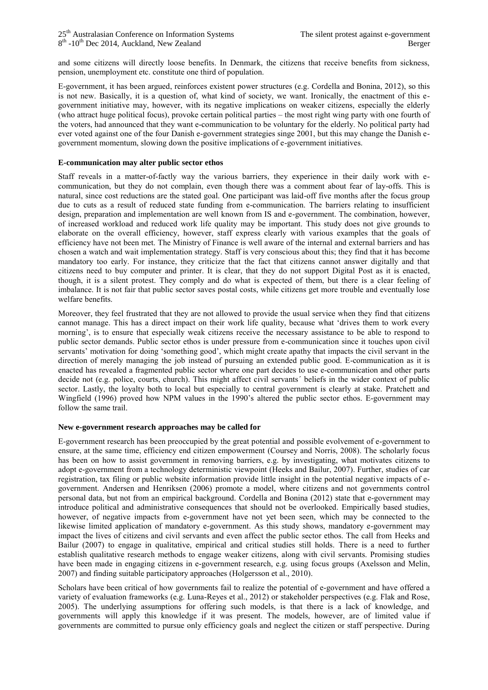and some citizens will directly loose benefits. In Denmark, the citizens that receive benefits from sickness, pension, unemployment etc. constitute one third of population.

E-government, it has been argued, reinforces existent power structures (e.g. Cordella and Bonina, 2012), so this is not new. Basically, it is a question of, what kind of society, we want. Ironically, the enactment of this egovernment initiative may, however, with its negative implications on weaker citizens, especially the elderly (who attract huge political focus), provoke certain political parties – the most right wing party with one fourth of the voters, had announced that they want e-communication to be voluntary for the elderly. No political party had ever voted against one of the four Danish e-government strategies singe 2001, but this may change the Danish egovernment momentum, slowing down the positive implications of e-government initiatives.

#### **E-communication may alter public sector ethos**

Staff reveals in a matter-of-factly way the various barriers, they experience in their daily work with ecommunication, but they do not complain, even though there was a comment about fear of lay-offs. This is natural, since cost reductions are the stated goal. One participant was laid-off five months after the focus group due to cuts as a result of reduced state funding from e-communication. The barriers relating to insufficient design, preparation and implementation are well known from IS and e-government. The combination, however, of increased workload and reduced work life quality may be important. This study does not give grounds to elaborate on the overall efficiency, however, staff express clearly with various examples that the goals of efficiency have not been met. The Ministry of Finance is well aware of the internal and external barriers and has chosen a watch and wait implementation strategy. Staff is very conscious about this; they find that it has become mandatory too early. For instance, they criticize that the fact that citizens cannot answer digitally and that citizens need to buy computer and printer. It is clear, that they do not support Digital Post as it is enacted, though, it is a silent protest. They comply and do what is expected of them, but there is a clear feeling of imbalance. It is not fair that public sector saves postal costs, while citizens get more trouble and eventually lose welfare benefits.

Moreover, they feel frustrated that they are not allowed to provide the usual service when they find that citizens cannot manage. This has a direct impact on their work life quality, because what 'drives them to work every morning', is to ensure that especially weak citizens receive the necessary assistance to be able to respond to public sector demands. Public sector ethos is under pressure from e-communication since it touches upon civil servants' motivation for doing 'something good', which might create apathy that impacts the civil servant in the direction of merely managing the job instead of pursuing an extended public good. E-communication as it is enacted has revealed a fragmented public sector where one part decides to use e-communication and other parts decide not (e.g. police, courts, church). This might affect civil servants´ beliefs in the wider context of public sector. Lastly, the loyalty both to local but especially to central government is clearly at stake. Pratchett and Wingfield (1996) proved how NPM values in the 1990's altered the public sector ethos. E-government may follow the same trail.

#### **New e-government research approaches may be called for**

E-government research has been preoccupied by the great potential and possible evolvement of e-government to ensure, at the same time, efficiency end citizen empowerment (Coursey and Norris, 2008). The scholarly focus has been on how to assist government in removing barriers, e.g. by investigating, what motivates citizens to adopt e-government from a technology deterministic viewpoint (Heeks and Bailur, 2007). Further, studies of car registration, tax filing or public website information provide little insight in the potential negative impacts of egovernment. Andersen and Henriksen (2006) promote a model, where citizens and not governments control personal data, but not from an empirical background. Cordella and Bonina (2012) state that e-government may introduce political and administrative consequences that should not be overlooked. Empirically based studies, however, of negative impacts from e-government have not yet been seen, which may be connected to the likewise limited application of mandatory e-government. As this study shows, mandatory e-government may impact the lives of citizens and civil servants and even affect the public sector ethos. The call from Heeks and Bailur (2007) to engage in qualitative, empirical and critical studies still holds. There is a need to further establish qualitative research methods to engage weaker citizens, along with civil servants. Promising studies have been made in engaging citizens in e-government research, e.g. using focus groups (Axelsson and Melin, 2007) and finding suitable participatory approaches (Holgersson et al., 2010).

Scholars have been critical of how governments fail to realize the potential of e-government and have offered a variety of evaluation frameworks (e.g. Luna-Reyes et al., 2012) or stakeholder perspectives (e.g. Flak and Rose, 2005). The underlying assumptions for offering such models, is that there is a lack of knowledge, and governments will apply this knowledge if it was present. The models, however, are of limited value if governments are committed to pursue only efficiency goals and neglect the citizen or staff perspective. During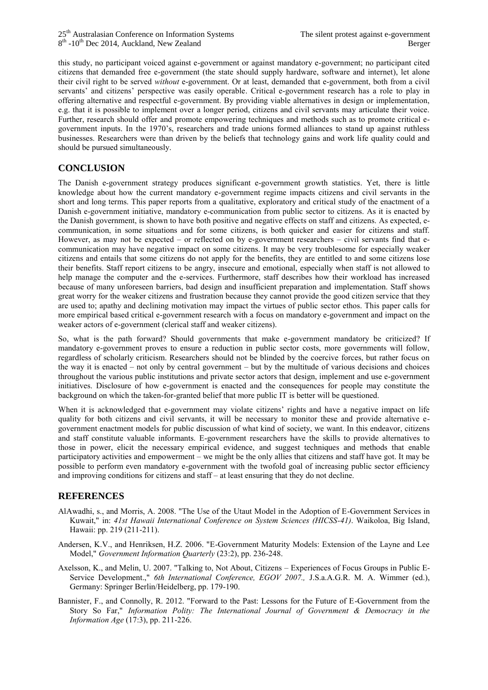this study, no participant voiced against e-government or against mandatory e-government; no participant cited citizens that demanded free e-government (the state should supply hardware, software and internet), let alone their civil right to be served *without* e-government. Or at least, demanded that e-government, both from a civil servants' and citizens' perspective was easily operable. Critical e-government research has a role to play in offering alternative and respectful e-government. By providing viable alternatives in design or implementation, e.g. that it is possible to implement over a longer period, citizens and civil servants may articulate their voice. Further, research should offer and promote empowering techniques and methods such as to promote critical egovernment inputs. In the 1970's, researchers and trade unions formed alliances to stand up against ruthless businesses. Researchers were than driven by the beliefs that technology gains and work life quality could and should be pursued simultaneously.

# **CONCLUSION**

The Danish e-government strategy produces significant e-government growth statistics. Yet, there is little knowledge about how the current mandatory e-government regime impacts citizens and civil servants in the short and long terms. This paper reports from a qualitative, exploratory and critical study of the enactment of a Danish e-government initiative, mandatory e-communication from public sector to citizens. As it is enacted by the Danish government, is shown to have both positive and negative effects on staff and citizens. As expected, ecommunication, in some situations and for some citizens, is both quicker and easier for citizens and staff. However, as may not be expected – or reflected on by e-government researchers – civil servants find that ecommunication may have negative impact on some citizens. It may be very troublesome for especially weaker citizens and entails that some citizens do not apply for the benefits, they are entitled to and some citizens lose their benefits. Staff report citizens to be angry, insecure and emotional, especially when staff is not allowed to help manage the computer and the e-services. Furthermore, staff describes how their workload has increased because of many unforeseen barriers, bad design and insufficient preparation and implementation. Staff shows great worry for the weaker citizens and frustration because they cannot provide the good citizen service that they are used to; apathy and declining motivation may impact the virtues of public sector ethos. This paper calls for more empirical based critical e-government research with a focus on mandatory e-government and impact on the weaker actors of e-government (clerical staff and weaker citizens).

So, what is the path forward? Should governments that make e-government mandatory be criticized? If mandatory e-government proves to ensure a reduction in public sector costs, more governments will follow, regardless of scholarly criticism. Researchers should not be blinded by the coercive forces, but rather focus on the way it is enacted – not only by central government – but by the multitude of various decisions and choices throughout the various public institutions and private sector actors that design, implement and use e-government initiatives. Disclosure of how e-government is enacted and the consequences for people may constitute the background on which the taken-for-granted belief that more public IT is better will be questioned.

When it is acknowledged that e-government may violate citizens' rights and have a negative impact on life quality for both citizens and civil servants, it will be necessary to monitor these and provide alternative egovernment enactment models for public discussion of what kind of society, we want. In this endeavor, citizens and staff constitute valuable informants. E-government researchers have the skills to provide alternatives to those in power, elicit the necessary empirical evidence, and suggest techniques and methods that enable participatory activities and empowerment – we might be the only allies that citizens and staff have got. It may be possible to perform even mandatory e-government with the twofold goal of increasing public sector efficiency and improving conditions for citizens and staff – at least ensuring that they do not decline.

### **REFERENCES**

- AlAwadhi, s., and Morris, A. 2008. "The Use of the Utaut Model in the Adoption of E-Government Services in Kuwait," in: *41st Hawaii International Conference on System Sciences (HICSS-41)*. Waikoloa, Big Island, Hawaii: pp. 219 (211-211).
- Andersen, K.V., and Henriksen, H.Z. 2006. "E-Government Maturity Models: Extension of the Layne and Lee Model," *Government Information Quarterly* (23:2), pp. 236-248.
- Axelsson, K., and Melin, U. 2007. "Talking to, Not About, Citizens Experiences of Focus Groups in Public E-Service Development.," *6th International Conference, EGOV 2007.,* J.S.a.A.G.R. M. A. Wimmer (ed.), Germany: Springer Berlin/Heidelberg, pp. 179-190.
- Bannister, F., and Connolly, R. 2012. "Forward to the Past: Lessons for the Future of E-Government from the Story So Far," *Information Polity: The International Journal of Government & Democracy in the Information Age* (17:3), pp. 211-226.